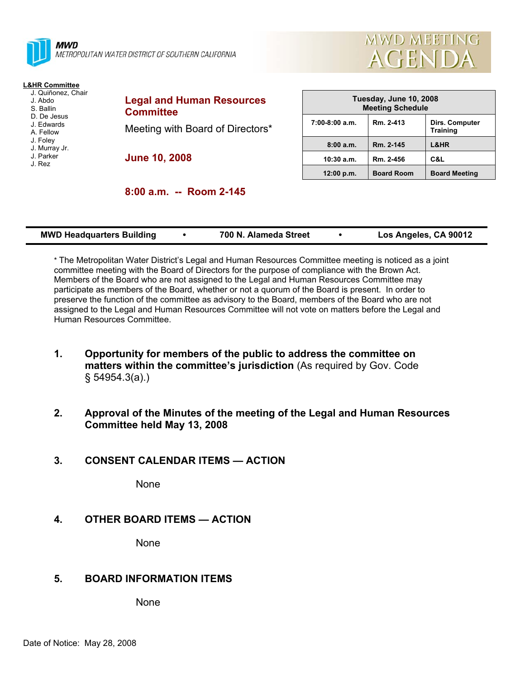

METROPOLITAN WATER DISTRICT OF SOUTHERN CALIFORNIA

# **L&HR Committee**

- J. Quiñonez, Chair J. Abdo
- S. Ballin
- D. De Jesus
- J. Edwards A. Fellow
- J. Foley
- J. Murray Jr.
- J. Parker
- J. Rez

**Legal and Human Resources Committee**  Meeting with Board of Directors\*

**June 10, 2008** 

| Tuesday, June 10, 2008<br><b>Meeting Schedule</b> |                   |                                   |  |  |  |
|---------------------------------------------------|-------------------|-----------------------------------|--|--|--|
| $7:00-8:00$ a.m.                                  | Rm. 2-413         | Dirs. Computer<br><b>Training</b> |  |  |  |
| 8:00a.m.                                          | Rm. 2-145         | L&HR                              |  |  |  |
| 10:30 a.m.                                        | Rm. 2-456         | C&L                               |  |  |  |
| 12:00 p.m.                                        | <b>Board Room</b> | <b>Board Meeting</b>              |  |  |  |

**MWD MEETING** 

AGENDA

|  |  |  | 8:00 a.m. -- Room 2-145 |  |
|--|--|--|-------------------------|--|
|--|--|--|-------------------------|--|

| <b>MWD Headquarters Building</b> |  | 700 N. Alameda Street |  | Los Angeles, CA 90012 |
|----------------------------------|--|-----------------------|--|-----------------------|
|----------------------------------|--|-----------------------|--|-----------------------|

\* The Metropolitan Water District's Legal and Human Resources Committee meeting is noticed as a joint committee meeting with the Board of Directors for the purpose of compliance with the Brown Act. Members of the Board who are not assigned to the Legal and Human Resources Committee may participate as members of the Board, whether or not a quorum of the Board is present. In order to preserve the function of the committee as advisory to the Board, members of the Board who are not assigned to the Legal and Human Resources Committee will not vote on matters before the Legal and Human Resources Committee.

- **1. Opportunity for members of the public to address the committee on matters within the committee's jurisdiction** (As required by Gov. Code § 54954.3(a).)
- **2. Approval of the Minutes of the meeting of the Legal and Human Resources Committee held May 13, 2008**

#### **3. CONSENT CALENDAR ITEMS — ACTION**

None

### **4. OTHER BOARD ITEMS — ACTION**

None

### **5. BOARD INFORMATION ITEMS**

None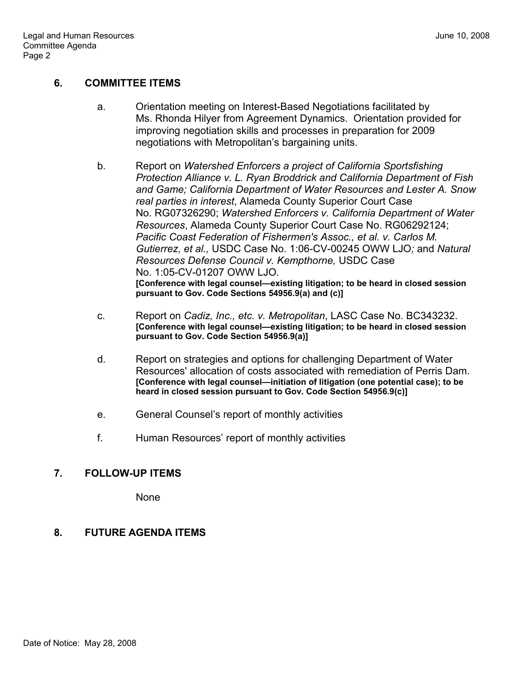### **6. COMMITTEE ITEMS**

- a. Orientation meeting on Interest-Based Negotiations facilitated by Ms. Rhonda Hilyer from Agreement Dynamics. Orientation provided for improving negotiation skills and processes in preparation for 2009 negotiations with Metropolitan's bargaining units.
- b. Report on *Watershed Enforcers a project of California Sportsfishing Protection Alliance v. L. Ryan Broddrick and California Department of Fish and Game; California Department of Water Resources and Lester A. Snow real parties in interest*, Alameda County Superior Court Case No. RG07326290; *Watershed Enforcers v. California Department of Water Resources*, Alameda County Superior Court Case No. RG06292124; *Pacific Coast Federation of Fishermen's Assoc., et al. v. Carlos M. Gutierrez, et al.,* USDC Case No. 1:06-CV-00245 OWW LJO*;* and *Natural Resources Defense Council v. Kempthorne,* USDC Case No. 1:05-CV-01207 OWW LJO. **[Conference with legal counsel—existing litigation; to be heard in closed session pursuant to Gov. Code Sections 54956.9(a) and (c)]**
- c. Report on *Cadiz, Inc., etc. v. Metropolitan*, LASC Case No. BC343232. **[Conference with legal counsel—existing litigation; to be heard in closed session pursuant to Gov. Code Section 54956.9(a)]**
- d. Report on strategies and options for challenging Department of Water Resources' allocation of costs associated with remediation of Perris Dam. **[Conference with legal counsel—initiation of litigation (one potential case); to be heard in closed session pursuant to Gov. Code Section 54956.9(c)]**
- e. General Counsel's report of monthly activities
- f. Human Resources' report of monthly activities

### **7. FOLLOW-UP ITEMS**

None

### **8. FUTURE AGENDA ITEMS**